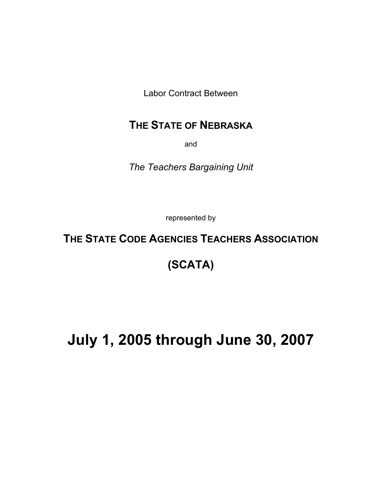Labor Contract Between

# **THE STATE OF NEBRASKA**

and

*The Teachers Bargaining Unit* 

represented by

# **THE STATE CODE AGENCIES TEACHERS ASSOCIATION**

# **(SCATA)**

# **July 1, 2005 through June 30, 2007**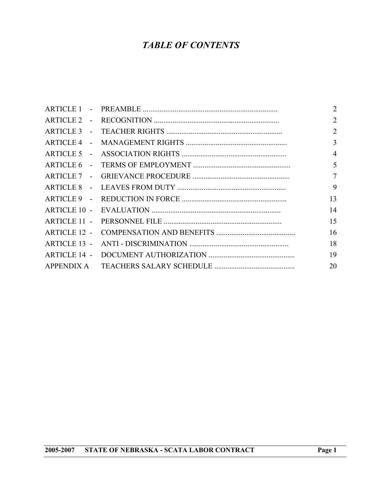## *TABLE OF CONTENTS*

|  | $\overline{2}$  |
|--|-----------------|
|  | $\overline{2}$  |
|  | 2               |
|  | 3               |
|  | $\overline{4}$  |
|  | 5               |
|  | $7\overline{ }$ |
|  | 9               |
|  | 13              |
|  | 14              |
|  | 15              |
|  | 16              |
|  | 18              |
|  | 19              |
|  | 20              |
|  |                 |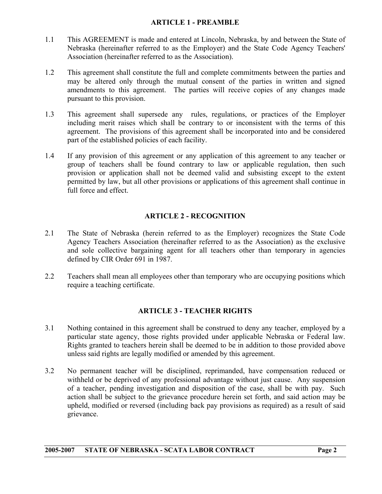#### **ARTICLE 1 - PREAMBLE**

- <span id="page-2-0"></span>1.1 This AGREEMENT is made and entered at Lincoln, Nebraska, by and between the State of Nebraska (hereinafter referred to as the Employer) and the State Code Agency Teachers' Association (hereinafter referred to as the Association).
- 1.2 This agreement shall constitute the full and complete commitments between the parties and may be altered only through the mutual consent of the parties in written and signed amendments to this agreement. The parties will receive copies of any changes made pursuant to this provision.
- 1.3 This agreement shall supersede any rules, regulations, or practices of the Employer including merit raises which shall be contrary to or inconsistent with the terms of this agreement. The provisions of this agreement shall be incorporated into and be considered part of the established policies of each facility.
- 1.4 If any provision of this agreement or any application of this agreement to any teacher or group of teachers shall be found contrary to law or applicable regulation, then such provision or application shall not be deemed valid and subsisting except to the extent permitted by law, but all other provisions or applications of this agreement shall continue in full force and effect.

#### **ARTICLE 2 - RECOGNITION**

- 2.1 The State of Nebraska (herein referred to as the Employer) recognizes the State Code Agency Teachers Association (hereinafter referred to as the Association) as the exclusive and sole collective bargaining agent for all teachers other than temporary in agencies defined by CIR Order 691 in 1987.
- 2.2 Teachers shall mean all employees other than temporary who are occupying positions which require a teaching certificate.

#### **ARTICLE 3 - TEACHER RIGHTS**

- 3.1 Nothing contained in this agreement shall be construed to deny any teacher, employed by a particular state agency, those rights provided under applicable Nebraska or Federal law. Rights granted to teachers herein shall be deemed to be in addition to those provided above unless said rights are legally modified or amended by this agreement.
- 3.2 No permanent teacher will be disciplined, reprimanded, have compensation reduced or withheld or be deprived of any professional advantage without just cause. Any suspension of a teacher, pending investigation and disposition of the case, shall be with pay. Such action shall be subject to the grievance procedure herein set forth, and said action may be upheld, modified or reversed (including back pay provisions as required) as a result of said grievance.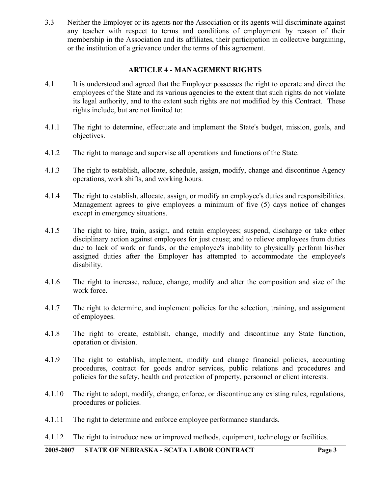<span id="page-3-0"></span>3.3 Neither the Employer or its agents nor the Association or its agents will discriminate against any teacher with respect to terms and conditions of employment by reason of their membership in the Association and its affiliates, their participation in collective bargaining, or the institution of a grievance under the terms of this agreement.

#### **ARTICLE 4 - MANAGEMENT RIGHTS**

- 4.1 It is understood and agreed that the Employer possesses the right to operate and direct the employees of the State and its various agencies to the extent that such rights do not violate its legal authority, and to the extent such rights are not modified by this Contract. These rights include, but are not limited to:
- 4.1.1 The right to determine, effectuate and implement the State's budget, mission, goals, and objectives.
- 4.1.2 The right to manage and supervise all operations and functions of the State.
- 4.1.3 The right to establish, allocate, schedule, assign, modify, change and discontinue Agency operations, work shifts, and working hours.
- 4.1.4 The right to establish, allocate, assign, or modify an employee's duties and responsibilities. Management agrees to give employees a minimum of five (5) days notice of changes except in emergency situations.
- 4.1.5 The right to hire, train, assign, and retain employees; suspend, discharge or take other disciplinary action against employees for just cause; and to relieve employees from duties due to lack of work or funds, or the employee's inability to physically perform his/her assigned duties after the Employer has attempted to accommodate the employee's disability.
- 4.1.6 The right to increase, reduce, change, modify and alter the composition and size of the work force.
- 4.1.7 The right to determine, and implement policies for the selection, training, and assignment of employees.
- 4.1.8 The right to create, establish, change, modify and discontinue any State function, operation or division.
- 4.1.9 The right to establish, implement, modify and change financial policies, accounting procedures, contract for goods and/or services, public relations and procedures and policies for the safety, health and protection of property, personnel or client interests.
- 4.1.10 The right to adopt, modify, change, enforce, or discontinue any existing rules, regulations, procedures or policies.
- 4.1.11 The right to determine and enforce employee performance standards.
- 4.1.12 The right to introduce new or improved methods, equipment, technology or facilities.

#### **2005-2007 STATE OF NEBRASKA - SCATA LABOR CONTRACT Page 3**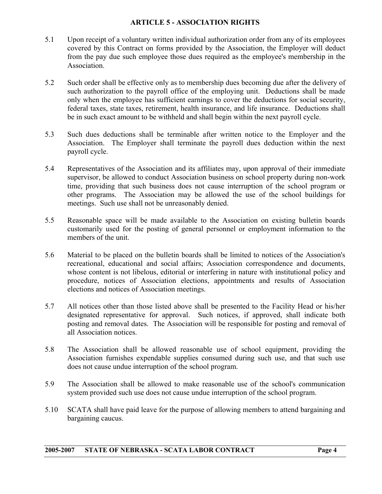#### **ARTICLE 5 - ASSOCIATION RIGHTS**

- <span id="page-4-0"></span>5.1 Upon receipt of a voluntary written individual authorization order from any of its employees covered by this Contract on forms provided by the Association, the Employer will deduct from the pay due such employee those dues required as the employee's membership in the Association.
- 5.2 Such order shall be effective only as to membership dues becoming due after the delivery of such authorization to the payroll office of the employing unit. Deductions shall be made only when the employee has sufficient earnings to cover the deductions for social security, federal taxes, state taxes, retirement, health insurance, and life insurance. Deductions shall be in such exact amount to be withheld and shall begin within the next payroll cycle.
- 5.3 Such dues deductions shall be terminable after written notice to the Employer and the Association. The Employer shall terminate the payroll dues deduction within the next payroll cycle.
- 5.4 Representatives of the Association and its affiliates may, upon approval of their immediate supervisor, be allowed to conduct Association business on school property during non-work time, providing that such business does not cause interruption of the school program or other programs. The Association may be allowed the use of the school buildings for meetings. Such use shall not be unreasonably denied.
- 5.5 Reasonable space will be made available to the Association on existing bulletin boards customarily used for the posting of general personnel or employment information to the members of the unit.
- 5.6 Material to be placed on the bulletin boards shall be limited to notices of the Association's recreational, educational and social affairs; Association correspondence and documents, whose content is not libelous, editorial or interfering in nature with institutional policy and procedure, notices of Association elections, appointments and results of Association elections and notices of Association meetings.
- 5.7 All notices other than those listed above shall be presented to the Facility Head or his/her designated representative for approval. Such notices, if approved, shall indicate both posting and removal dates. The Association will be responsible for posting and removal of all Association notices.
- 5.8 The Association shall be allowed reasonable use of school equipment, providing the Association furnishes expendable supplies consumed during such use, and that such use does not cause undue interruption of the school program.
- 5.9 The Association shall be allowed to make reasonable use of the school's communication system provided such use does not cause undue interruption of the school program.
- 5.10 SCATA shall have paid leave for the purpose of allowing members to attend bargaining and bargaining caucus.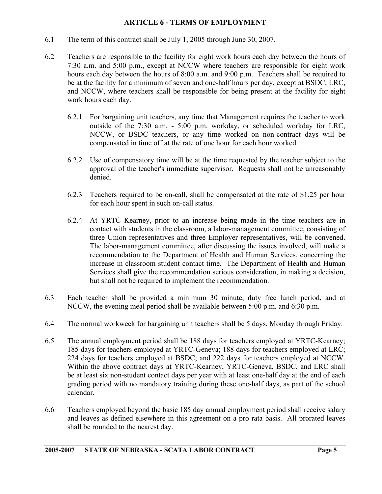#### **ARTICLE 6 - TERMS OF EMPLOYMENT**

- <span id="page-5-0"></span>6.1 The term of this contract shall be July 1, 2005 through June 30, 2007.
- 6.2 Teachers are responsible to the facility for eight work hours each day between the hours of 7:30 a.m. and 5:00 p.m., except at NCCW where teachers are responsible for eight work hours each day between the hours of 8:00 a.m. and 9:00 p.m. Teachers shall be required to be at the facility for a minimum of seven and one-half hours per day, except at BSDC, LRC, and NCCW, where teachers shall be responsible for being present at the facility for eight work hours each day.
	- 6.2.1 For bargaining unit teachers, any time that Management requires the teacher to work outside of the 7:30 a.m. - 5:00 p.m. workday, or scheduled workday for LRC, NCCW, or BSDC teachers, or any time worked on non-contract days will be compensated in time off at the rate of one hour for each hour worked.
	- 6.2.2 Use of compensatory time will be at the time requested by the teacher subject to the approval of the teacher's immediate supervisor. Requests shall not be unreasonably denied.
	- 6.2.3 Teachers required to be on-call, shall be compensated at the rate of \$1.25 per hour for each hour spent in such on-call status.
	- 6.2.4 At YRTC Kearney, prior to an increase being made in the time teachers are in contact with students in the classroom, a labor-management committee, consisting of three Union representatives and three Employer representatives, will be convened. The labor-management committee, after discussing the issues involved, will make a recommendation to the Department of Health and Human Services, concerning the increase in classroom student contact time. The Department of Health and Human Services shall give the recommendation serious consideration, in making a decision, but shall not be required to implement the recommendation.
- 6.3 Each teacher shall be provided a minimum 30 minute, duty free lunch period, and at NCCW, the evening meal period shall be available between 5:00 p.m. and 6:30 p.m.
- 6.4 The normal workweek for bargaining unit teachers shall be 5 days, Monday through Friday.
- 6.5 The annual employment period shall be 188 days for teachers employed at YRTC-Kearney; 185 days for teachers employed at YRTC-Geneva; 188 days for teachers employed at LRC; 224 days for teachers employed at BSDC; and 222 days for teachers employed at NCCW. Within the above contract days at YRTC-Kearney, YRTC-Geneva, BSDC, and LRC shall be at least six non-student contact days per year with at least one-half day at the end of each grading period with no mandatory training during these one-half days, as part of the school calendar.
- 6.6 Teachers employed beyond the basic 185 day annual employment period shall receive salary and leaves as defined elsewhere in this agreement on a pro rata basis. All prorated leaves shall be rounded to the nearest day.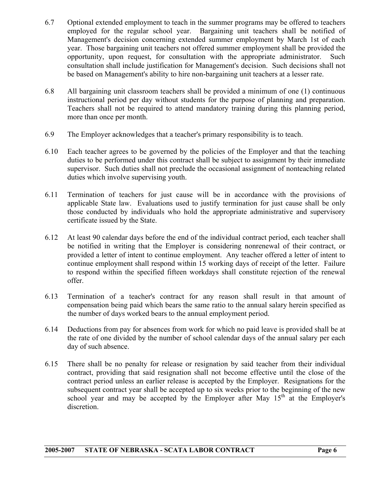- 6.7 Optional extended employment to teach in the summer programs may be offered to teachers employed for the regular school year. Bargaining unit teachers shall be notified of Management's decision concerning extended summer employment by March 1st of each year. Those bargaining unit teachers not offered summer employment shall be provided the opportunity, upon request, for consultation with the appropriate administrator. Such consultation shall include justification for Management's decision. Such decisions shall not be based on Management's ability to hire non-bargaining unit teachers at a lesser rate.
- 6.8 All bargaining unit classroom teachers shall be provided a minimum of one (1) continuous instructional period per day without students for the purpose of planning and preparation. Teachers shall not be required to attend mandatory training during this planning period, more than once per month.
- 6.9 The Employer acknowledges that a teacher's primary responsibility is to teach.
- 6.10 Each teacher agrees to be governed by the policies of the Employer and that the teaching duties to be performed under this contract shall be subject to assignment by their immediate supervisor. Such duties shall not preclude the occasional assignment of nonteaching related duties which involve supervising youth.
- 6.11 Termination of teachers for just cause will be in accordance with the provisions of applicable State law. Evaluations used to justify termination for just cause shall be only those conducted by individuals who hold the appropriate administrative and supervisory certificate issued by the State.
- 6.12 At least 90 calendar days before the end of the individual contract period, each teacher shall be notified in writing that the Employer is considering nonrenewal of their contract, or provided a letter of intent to continue employment. Any teacher offered a letter of intent to continue employment shall respond within 15 working days of receipt of the letter. Failure to respond within the specified fifteen workdays shall constitute rejection of the renewal offer.
- 6.13 Termination of a teacher's contract for any reason shall result in that amount of compensation being paid which bears the same ratio to the annual salary herein specified as the number of days worked bears to the annual employment period.
- 6.14 Deductions from pay for absences from work for which no paid leave is provided shall be at the rate of one divided by the number of school calendar days of the annual salary per each day of such absence.
- 6.15 There shall be no penalty for release or resignation by said teacher from their individual contract, providing that said resignation shall not become effective until the close of the contract period unless an earlier release is accepted by the Employer. Resignations for the subsequent contract year shall be accepted up to six weeks prior to the beginning of the new school year and may be accepted by the Employer after May  $15<sup>th</sup>$  at the Employer's discretion.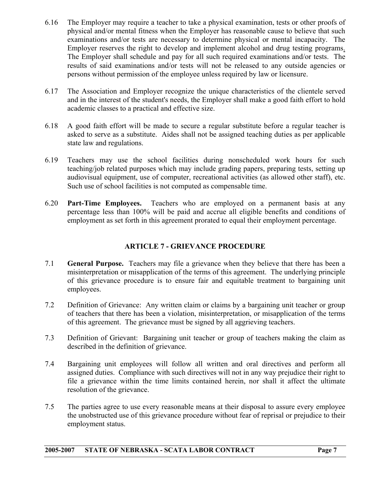- <span id="page-7-0"></span>6.16 The Employer may require a teacher to take a physical examination, tests or other proofs of physical and/or mental fitness when the Employer has reasonable cause to believe that such examinations and/or tests are necessary to determine physical or mental incapacity. The Employer reserves the right to develop and implement alcohol and drug testing programs. The Employer shall schedule and pay for all such required examinations and/or tests. The results of said examinations and/or tests will not be released to any outside agencies or persons without permission of the employee unless required by law or licensure.
- 6.17 The Association and Employer recognize the unique characteristics of the clientele served and in the interest of the student's needs, the Employer shall make a good faith effort to hold academic classes to a practical and effective size.
- 6.18 A good faith effort will be made to secure a regular substitute before a regular teacher is asked to serve as a substitute. Aides shall not be assigned teaching duties as per applicable state law and regulations.
- 6.19 Teachers may use the school facilities during nonscheduled work hours for such teaching/job related purposes which may include grading papers, preparing tests, setting up audiovisual equipment, use of computer, recreational activities (as allowed other staff), etc. Such use of school facilities is not computed as compensable time.
- 6.20 **Part-Time Employees.** Teachers who are employed on a permanent basis at any percentage less than 100% will be paid and accrue all eligible benefits and conditions of employment as set forth in this agreement prorated to equal their employment percentage.

### **ARTICLE 7 - GRIEVANCE PROCEDURE**

- 7.1 **General Purpose.** Teachers may file a grievance when they believe that there has been a misinterpretation or misapplication of the terms of this agreement. The underlying principle of this grievance procedure is to ensure fair and equitable treatment to bargaining unit employees.
- 7.2 Definition of Grievance: Any written claim or claims by a bargaining unit teacher or group of teachers that there has been a violation, misinterpretation, or misapplication of the terms of this agreement. The grievance must be signed by all aggrieving teachers.
- 7.3 Definition of Grievant: Bargaining unit teacher or group of teachers making the claim as described in the definition of grievance.
- 7.4 Bargaining unit employees will follow all written and oral directives and perform all assigned duties. Compliance with such directives will not in any way prejudice their right to file a grievance within the time limits contained herein, nor shall it affect the ultimate resolution of the grievance.
- 7.5 The parties agree to use every reasonable means at their disposal to assure every employee the unobstructed use of this grievance procedure without fear of reprisal or prejudice to their employment status.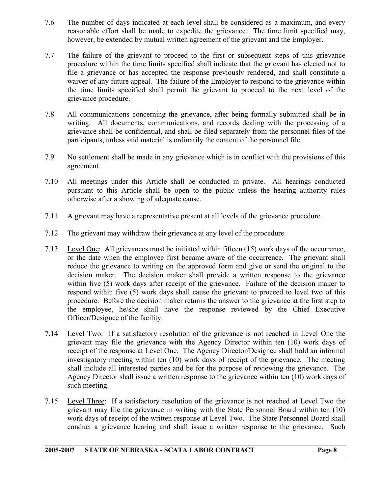- 7.6 The number of days indicated at each level shall be considered as a maximum, and every reasonable effort shall be made to expedite the grievance. The time limit specified may, however, be extended by mutual written agreement of the grievant and the Employer.
- 7.7 The failure of the grievant to proceed to the first or subsequent steps of this grievance procedure within the time limits specified shall indicate that the grievant has elected not to file a grievance or has accepted the response previously rendered, and shall constitute a waiver of any future appeal. The failure of the Employer to respond to the grievance within the time limits specified shall permit the grievant to proceed to the next level of the grievance procedure.
- 7.8 All communications concerning the grievance, after being formally submitted shall be in writing. All documents, communications, and records dealing with the processing of a grievance shall be confidential, and shall be filed separately from the personnel files of the participants, unless said material is ordinarily the content of the personnel file.
- 7.9 No settlement shall be made in any grievance which is in conflict with the provisions of this agreement.
- 7.10 All meetings under this Article shall be conducted in private. All hearings conducted pursuant to this Article shall be open to the public unless the hearing authority rules otherwise after a showing of adequate cause.
- 7.11 A grievant may have a representative present at all levels of the grievance procedure.
- 7.12 The grievant may withdraw their grievance at any level of the procedure.
- 7.13 Level One: All grievances must be initiated within fifteen (15) work days of the occurrence, or the date when the employee first became aware of the occurrence. The grievant shall reduce the grievance to writing on the approved form and give or send the original to the decision maker. The decision maker shall provide a written response to the grievance within five (5) work days after receipt of the grievance. Failure of the decision maker to respond within five (5) work days shall cause the grievant to proceed to level two of this procedure. Before the decision maker returns the answer to the grievance at the first step to the employee, he/she shall have the response reviewed by the Chief Executive Officer/Designee of the facility.
- 7.14 Level Two: If a satisfactory resolution of the grievance is not reached in Level One the grievant may file the grievance with the Agency Director within ten (10) work days of receipt of the response at Level One. The Agency Director/Designee shall hold an informal investigatory meeting within ten (10) work days of receipt of the grievance. The meeting shall include all interested parties and be for the purpose of reviewing the grievance. The Agency Director shall issue a written response to the grievance within ten (10) work days of such meeting.
- 7.15 Level Three: If a satisfactory resolution of the grievance is not reached at Level Two the grievant may file the grievance in writing with the State Personnel Board within ten (10) work days of receipt of the written response at Level Two. The State Personnel Board shall conduct a grievance hearing and shall issue a written response to the grievance. Such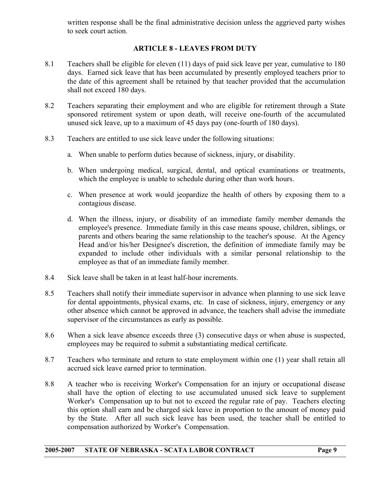<span id="page-9-0"></span>written response shall be the final administrative decision unless the aggrieved party wishes to seek court action.

#### **ARTICLE 8 - LEAVES FROM DUTY**

- 8.1 Teachers shall be eligible for eleven (11) days of paid sick leave per year, cumulative to 180 days. Earned sick leave that has been accumulated by presently employed teachers prior to the date of this agreement shall be retained by that teacher provided that the accumulation shall not exceed 180 days.
- 8.2 Teachers separating their employment and who are eligible for retirement through a State sponsored retirement system or upon death, will receive one-fourth of the accumulated unused sick leave, up to a maximum of 45 days pay (one-fourth of 180 days).
- 8.3 Teachers are entitled to use sick leave under the following situations:
	- a. When unable to perform duties because of sickness, injury, or disability.
	- b. When undergoing medical, surgical, dental, and optical examinations or treatments, which the employee is unable to schedule during other than work hours.
	- c. When presence at work would jeopardize the health of others by exposing them to a contagious disease.
	- d. When the illness, injury, or disability of an immediate family member demands the employee's presence. Immediate family in this case means spouse, children, siblings, or parents and others bearing the same relationship to the teacher's spouse. At the Agency Head and/or his/her Designee's discretion, the definition of immediate family may be expanded to include other individuals with a similar personal relationship to the employee as that of an immediate family member.
- 8.4 Sick leave shall be taken in at least half-hour increments.
- 8.5 Teachers shall notify their immediate supervisor in advance when planning to use sick leave for dental appointments, physical exams, etc. In case of sickness, injury, emergency or any other absence which cannot be approved in advance, the teachers shall advise the immediate supervisor of the circumstances as early as possible.
- 8.6 When a sick leave absence exceeds three (3) consecutive days or when abuse is suspected, employees may be required to submit a substantiating medical certificate.
- 8.7 Teachers who terminate and return to state employment within one (1) year shall retain all accrued sick leave earned prior to termination.
- 8.8 A teacher who is receiving Worker's Compensation for an injury or occupational disease shall have the option of electing to use accumulated unused sick leave to supplement Worker's Compensation up to but not to exceed the regular rate of pay. Teachers electing this option shall earn and be charged sick leave in proportion to the amount of money paid by the State. After all such sick leave has been used, the teacher shall be entitled to compensation authorized by Worker's Compensation.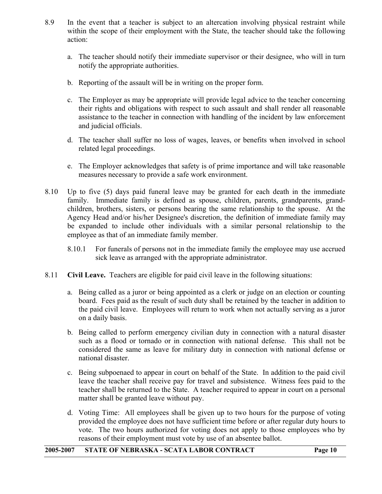- 8.9 In the event that a teacher is subject to an altercation involving physical restraint while within the scope of their employment with the State, the teacher should take the following action:
	- a. The teacher should notify their immediate supervisor or their designee, who will in turn notify the appropriate authorities.
	- b. Reporting of the assault will be in writing on the proper form.
	- c. The Employer as may be appropriate will provide legal advice to the teacher concerning their rights and obligations with respect to such assault and shall render all reasonable assistance to the teacher in connection with handling of the incident by law enforcement and judicial officials.
	- d. The teacher shall suffer no loss of wages, leaves, or benefits when involved in school related legal proceedings.
	- e. The Employer acknowledges that safety is of prime importance and will take reasonable measures necessary to provide a safe work environment.
- 8.10 Up to five (5) days paid funeral leave may be granted for each death in the immediate family. Immediate family is defined as spouse, children, parents, grandparents, grandchildren, brothers, sisters, or persons bearing the same relationship to the spouse. At the Agency Head and/or his/her Designee's discretion, the definition of immediate family may be expanded to include other individuals with a similar personal relationship to the employee as that of an immediate family member.
	- 8.10.1 For funerals of persons not in the immediate family the employee may use accrued sick leave as arranged with the appropriate administrator.
- 8.11 **Civil Leave.** Teachers are eligible for paid civil leave in the following situations:
	- a. Being called as a juror or being appointed as a clerk or judge on an election or counting board. Fees paid as the result of such duty shall be retained by the teacher in addition to the paid civil leave. Employees will return to work when not actually serving as a juror on a daily basis.
	- b. Being called to perform emergency civilian duty in connection with a natural disaster such as a flood or tornado or in connection with national defense. This shall not be considered the same as leave for military duty in connection with national defense or national disaster.
	- c. Being subpoenaed to appear in court on behalf of the State. In addition to the paid civil leave the teacher shall receive pay for travel and subsistence. Witness fees paid to the teacher shall be returned to the State. A teacher required to appear in court on a personal matter shall be granted leave without pay.
	- d. Voting Time: All employees shall be given up to two hours for the purpose of voting provided the employee does not have sufficient time before or after regular duty hours to vote. The two hours authorized for voting does not apply to those employees who by reasons of their employment must vote by use of an absentee ballot.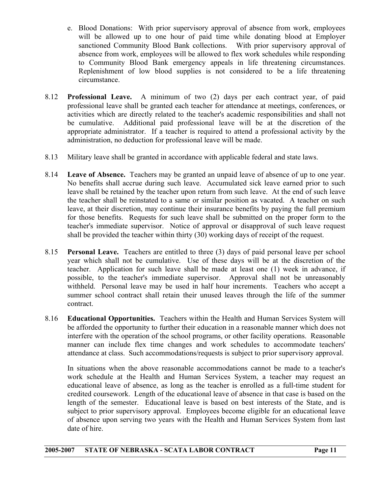- e. Blood Donations: With prior supervisory approval of absence from work, employees will be allowed up to one hour of paid time while donating blood at Employer sanctioned Community Blood Bank collections. With prior supervisory approval of absence from work, employees will be allowed to flex work schedules while responding to Community Blood Bank emergency appeals in life threatening circumstances. Replenishment of low blood supplies is not considered to be a life threatening circumstance.
- 8.12 **Professional Leave.** A minimum of two (2) days per each contract year, of paid professional leave shall be granted each teacher for attendance at meetings, conferences, or activities which are directly related to the teacher's academic responsibilities and shall not be cumulative. Additional paid professional leave will be at the discretion of the appropriate administrator. If a teacher is required to attend a professional activity by the administration, no deduction for professional leave will be made.
- 8.13 Military leave shall be granted in accordance with applicable federal and state laws.
- 8.14 **Leave of Absence.** Teachers may be granted an unpaid leave of absence of up to one year. No benefits shall accrue during such leave. Accumulated sick leave earned prior to such leave shall be retained by the teacher upon return from such leave. At the end of such leave the teacher shall be reinstated to a same or similar position as vacated. A teacher on such leave, at their discretion, may continue their insurance benefits by paying the full premium for those benefits. Requests for such leave shall be submitted on the proper form to the teacher's immediate supervisor. Notice of approval or disapproval of such leave request shall be provided the teacher within thirty (30) working days of receipt of the request.
- 8.15 **Personal Leave.** Teachers are entitled to three (3) days of paid personal leave per school year which shall not be cumulative. Use of these days will be at the discretion of the teacher. Application for such leave shall be made at least one (1) week in advance, if possible, to the teacher's immediate supervisor. Approval shall not be unreasonably withheld. Personal leave may be used in half hour increments. Teachers who accept a summer school contract shall retain their unused leaves through the life of the summer contract.
- 8.16 **Educational Opportunities.** Teachers within the Health and Human Services System will be afforded the opportunity to further their education in a reasonable manner which does not interfere with the operation of the school programs, or other facility operations. Reasonable manner can include flex time changes and work schedules to accommodate teachers' attendance at class. Such accommodations/requests is subject to prior supervisory approval.

 In situations when the above reasonable accommodations cannot be made to a teacher's work schedule at the Health and Human Services System, a teacher may request an educational leave of absence, as long as the teacher is enrolled as a full-time student for credited coursework. Length of the educational leave of absence in that case is based on the length of the semester. Educational leave is based on best interests of the State, and is subject to prior supervisory approval. Employees become eligible for an educational leave of absence upon serving two years with the Health and Human Services System from last date of hire.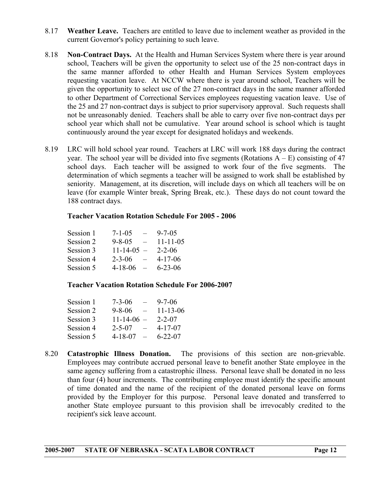- 8.17 **Weather Leave.** Teachers are entitled to leave due to inclement weather as provided in the current Governor's policy pertaining to such leave.
- 8.18 **Non-Contract Days.** At the Health and Human Services System where there is year around school, Teachers will be given the opportunity to select use of the 25 non-contract days in the same manner afforded to other Health and Human Services System employees requesting vacation leave. At NCCW where there is year around school, Teachers will be given the opportunity to select use of the 27 non-contract days in the same manner afforded to other Department of Correctional Services employees requesting vacation leave. Use of the 25 and 27 non-contract days is subject to prior supervisory approval. Such requests shall not be unreasonably denied. Teachers shall be able to carry over five non-contract days per school year which shall not be cumulative. Year around school is school which is taught continuously around the year except for designated holidays and weekends.
- 8.19 LRC will hold school year round. Teachers at LRC will work 188 days during the contract year. The school year will be divided into five segments (Rotations  $A - E$ ) consisting of 47 school days. Each teacher will be assigned to work four of the five segments. The determination of which segments a teacher will be assigned to work shall be established by seniority. Management, at its discretion, will include days on which all teachers will be on leave (for example Winter break, Spring Break, etc.). These days do not count toward the 188 contract days.

#### **Teacher Vacation Rotation Schedule For 2005 - 2006**

| Session 1 | $7 - 1 - 05$             | $9 - 7 - 0.5$  |
|-----------|--------------------------|----------------|
| Session 2 | $9 - 8 - 05$<br>$\equiv$ | $11 - 11 - 05$ |
| Session 3 | $11 - 14 - 05 -$         | $2 - 2 - 06$   |
| Session 4 | $2 - 3 - 06$             | $4 - 17 - 06$  |
| Session 5 | $4 - 18 - 06$            | $6 - 23 - 06$  |

#### **Teacher Vacation Rotation Schedule For 2006-2007**

| Session 1 | $7 - 3 - 06$              | $9 - 7 - 06$   |
|-----------|---------------------------|----------------|
| Session 2 | $9 - 8 - 06$              | $11 - 13 - 06$ |
| Session 3 | $11-14-06$ –              | $2 - 2 - 07$   |
| Session 4 | $2 - 5 - 07$              | $4 - 17 - 07$  |
| Session 5 | $4 - 18 - 07$<br>$\equiv$ | $6 - 22 - 07$  |

8.20 **Catastrophic Illness Donation.** The provisions of this section are non-grievable. Employees may contribute accrued personal leave to benefit another State employee in the same agency suffering from a catastrophic illness. Personal leave shall be donated in no less than four (4) hour increments. The contributing employee must identify the specific amount of time donated and the name of the recipient of the donated personal leave on forms provided by the Employer for this purpose. Personal leave donated and transferred to another State employee pursuant to this provision shall be irrevocably credited to the recipient's sick leave account.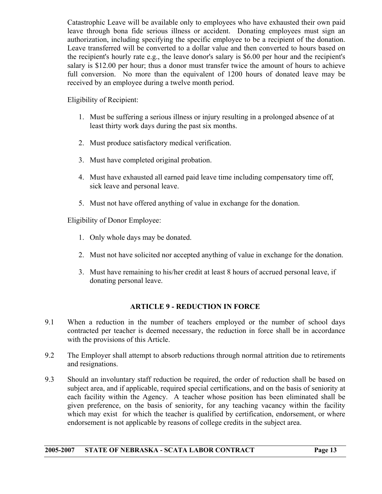<span id="page-13-0"></span> Catastrophic Leave will be available only to employees who have exhausted their own paid leave through bona fide serious illness or accident. Donating employees must sign an authorization, including specifying the specific employee to be a recipient of the donation. Leave transferred will be converted to a dollar value and then converted to hours based on the recipient's hourly rate e.g., the leave donor's salary is \$6.00 per hour and the recipient's salary is \$12.00 per hour; thus a donor must transfer twice the amount of hours to achieve full conversion. No more than the equivalent of 1200 hours of donated leave may be received by an employee during a twelve month period.

Eligibility of Recipient:

- 1. Must be suffering a serious illness or injury resulting in a prolonged absence of at least thirty work days during the past six months.
- 2. Must produce satisfactory medical verification.
- 3. Must have completed original probation.
- 4. Must have exhausted all earned paid leave time including compensatory time off, sick leave and personal leave.
- 5. Must not have offered anything of value in exchange for the donation.

Eligibility of Donor Employee:

- 1. Only whole days may be donated.
- 2. Must not have solicited nor accepted anything of value in exchange for the donation.
- 3. Must have remaining to his/her credit at least 8 hours of accrued personal leave, if donating personal leave.

#### **ARTICLE 9 - REDUCTION IN FORCE**

- 9.1 When a reduction in the number of teachers employed or the number of school days contracted per teacher is deemed necessary, the reduction in force shall be in accordance with the provisions of this Article.
- 9.2 The Employer shall attempt to absorb reductions through normal attrition due to retirements and resignations.
- 9.3 Should an involuntary staff reduction be required, the order of reduction shall be based on subject area, and if applicable, required special certifications, and on the basis of seniority at each facility within the Agency. A teacher whose position has been eliminated shall be given preference, on the basis of seniority, for any teaching vacancy within the facility which may exist for which the teacher is qualified by certification, endorsement, or where endorsement is not applicable by reasons of college credits in the subject area.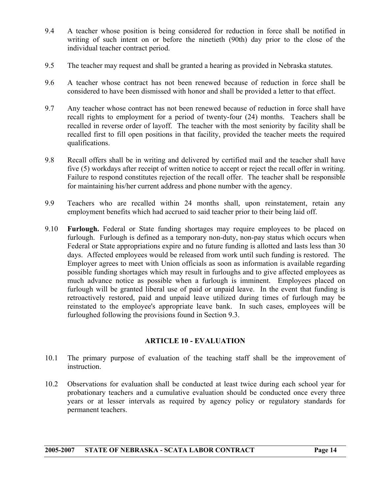- 9.4 A teacher whose position is being considered for reduction in force shall be notified in writing of such intent on or before the ninetieth (90th) day prior to the close of the individual teacher contract period.
- 9.5 The teacher may request and shall be granted a hearing as provided in Nebraska statutes.
- 9.6 A teacher whose contract has not been renewed because of reduction in force shall be considered to have been dismissed with honor and shall be provided a letter to that effect.
- 9.7 Any teacher whose contract has not been renewed because of reduction in force shall have recall rights to employment for a period of twenty-four (24) months. Teachers shall be recalled in reverse order of layoff. The teacher with the most seniority by facility shall be recalled first to fill open positions in that facility, provided the teacher meets the required qualifications.
- 9.8 Recall offers shall be in writing and delivered by certified mail and the teacher shall have five (5) workdays after receipt of written notice to accept or reject the recall offer in writing. Failure to respond constitutes rejection of the recall offer. The teacher shall be responsible for maintaining his/her current address and phone number with the agency.
- 9.9 Teachers who are recalled within 24 months shall, upon reinstatement, retain any employment benefits which had accrued to said teacher prior to their being laid off.
- 9.10 **Furlough.** Federal or State funding shortages may require employees to be placed on furlough. Furlough is defined as a temporary non-duty, non-pay status which occurs when Federal or State appropriations expire and no future funding is allotted and lasts less than 30 days. Affected employees would be released from work until such funding is restored. The Employer agrees to meet with Union officials as soon as information is available regarding possible funding shortages which may result in furloughs and to give affected employees as much advance notice as possible when a furlough is imminent. Employees placed on furlough will be granted liberal use of paid or unpaid leave. In the event that funding is retroactively restored, paid and unpaid leave utilized during times of furlough may be reinstated to the employee's appropriate leave bank. In such cases, employees will be furloughed following the provisions found in Section 9.3.

#### **ARTICLE 10 - EVALUATION**

- 10.1 The primary purpose of evaluation of the teaching staff shall be the improvement of instruction.
- 10.2 Observations for evaluation shall be conducted at least twice during each school year for probationary teachers and a cumulative evaluation should be conducted once every three years or at lesser intervals as required by agency policy or regulatory standards for permanent teachers.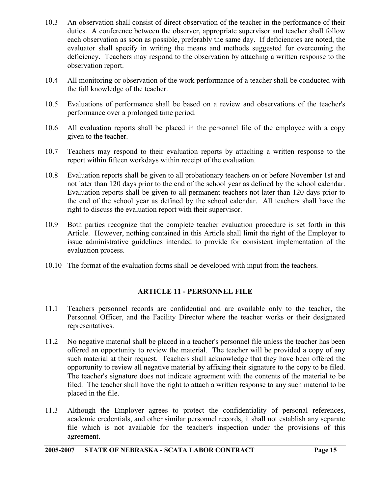- <span id="page-15-0"></span>10.3 An observation shall consist of direct observation of the teacher in the performance of their duties. A conference between the observer, appropriate supervisor and teacher shall follow each observation as soon as possible, preferably the same day. If deficiencies are noted, the evaluator shall specify in writing the means and methods suggested for overcoming the deficiency. Teachers may respond to the observation by attaching a written response to the observation report.
- 10.4 All monitoring or observation of the work performance of a teacher shall be conducted with the full knowledge of the teacher.
- 10.5 Evaluations of performance shall be based on a review and observations of the teacher's performance over a prolonged time period.
- 10.6 All evaluation reports shall be placed in the personnel file of the employee with a copy given to the teacher.
- 10.7 Teachers may respond to their evaluation reports by attaching a written response to the report within fifteen workdays within receipt of the evaluation.
- 10.8 Evaluation reports shall be given to all probationary teachers on or before November 1st and not later than 120 days prior to the end of the school year as defined by the school calendar. Evaluation reports shall be given to all permanent teachers not later than 120 days prior to the end of the school year as defined by the school calendar. All teachers shall have the right to discuss the evaluation report with their supervisor.
- 10.9 Both parties recognize that the complete teacher evaluation procedure is set forth in this Article. However, nothing contained in this Article shall limit the right of the Employer to issue administrative guidelines intended to provide for consistent implementation of the evaluation process.
- 10.10 The format of the evaluation forms shall be developed with input from the teachers.

#### **ARTICLE 11 - PERSONNEL FILE**

- 11.1 Teachers personnel records are confidential and are available only to the teacher, the Personnel Officer, and the Facility Director where the teacher works or their designated representatives.
- 11.2 No negative material shall be placed in a teacher's personnel file unless the teacher has been offered an opportunity to review the material. The teacher will be provided a copy of any such material at their request. Teachers shall acknowledge that they have been offered the opportunity to review all negative material by affixing their signature to the copy to be filed. The teacher's signature does not indicate agreement with the contents of the material to be filed. The teacher shall have the right to attach a written response to any such material to be placed in the file.
- 11.3 Although the Employer agrees to protect the confidentiality of personal references, academic credentials, and other similar personnel records, it shall not establish any separate file which is not available for the teacher's inspection under the provisions of this agreement.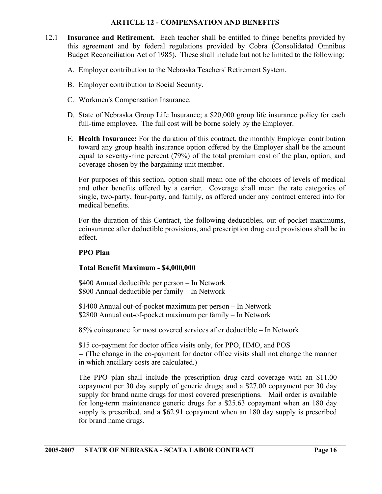#### **ARTICLE 12 - COMPENSATION AND BENEFITS**

- <span id="page-16-0"></span>12.1 **Insurance and Retirement.** Each teacher shall be entitled to fringe benefits provided by this agreement and by federal regulations provided by Cobra (Consolidated Omnibus Budget Reconciliation Act of 1985). These shall include but not be limited to the following:
	- A. Employer contribution to the Nebraska Teachers' Retirement System.
	- B. Employer contribution to Social Security.
	- C. Workmen's Compensation Insurance.
	- D. State of Nebraska Group Life Insurance; a \$20,000 group life insurance policy for each full-time employee. The full cost will be borne solely by the Employer.
	- E. **Health Insurance:** For the duration of this contract, the monthly Employer contribution toward any group health insurance option offered by the Employer shall be the amount equal to seventy-nine percent (79%) of the total premium cost of the plan, option, and coverage chosen by the bargaining unit member.

 For purposes of this section, option shall mean one of the choices of levels of medical and other benefits offered by a carrier. Coverage shall mean the rate categories of single, two-party, four-party, and family, as offered under any contract entered into for medical benefits.

 For the duration of this Contract, the following deductibles, out-of-pocket maximums, coinsurance after deductible provisions, and prescription drug card provisions shall be in effect.

#### **PPO Plan**

#### **Total Benefit Maximum - \$4,000,000**

\$400 Annual deductible per person – In Network \$800 Annual deductible per family – In Network

\$1400 Annual out-of-pocket maximum per person – In Network \$2800 Annual out-of-pocket maximum per family – In Network

85% coinsurance for most covered services after deductible – In Network

\$15 co-payment for doctor office visits only, for PPO, HMO, and POS

-- (The change in the co-payment for doctor office visits shall not change the manner in which ancillary costs are calculated.)

 The PPO plan shall include the prescription drug card coverage with an \$11.00 copayment per 30 day supply of generic drugs; and a \$27.00 copayment per 30 day supply for brand name drugs for most covered prescriptions. Mail order is available for long-term maintenance generic drugs for a \$25.63 copayment when an 180 day supply is prescribed, and a \$62.91 copayment when an 180 day supply is prescribed for brand name drugs.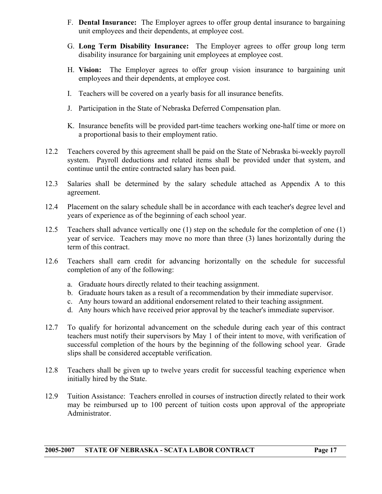- F. **Dental Insurance:** The Employer agrees to offer group dental insurance to bargaining unit employees and their dependents, at employee cost.
- G. **Long Term Disability Insurance:** The Employer agrees to offer group long term disability insurance for bargaining unit employees at employee cost.
- H. **Vision:** The Employer agrees to offer group vision insurance to bargaining unit employees and their dependents, at employee cost.
- I. Teachers will be covered on a yearly basis for all insurance benefits.
- J. Participation in the State of Nebraska Deferred Compensation plan.
- K. Insurance benefits will be provided part-time teachers working one-half time or more on a proportional basis to their employment ratio.
- 12.2 Teachers covered by this agreement shall be paid on the State of Nebraska bi-weekly payroll system. Payroll deductions and related items shall be provided under that system, and continue until the entire contracted salary has been paid.
- 12.3 Salaries shall be determined by the salary schedule attached as Appendix A to this agreement.
- 12.4 Placement on the salary schedule shall be in accordance with each teacher's degree level and years of experience as of the beginning of each school year.
- 12.5 Teachers shall advance vertically one (1) step on the schedule for the completion of one (1) year of service. Teachers may move no more than three (3) lanes horizontally during the term of this contract.
- 12.6 Teachers shall earn credit for advancing horizontally on the schedule for successful completion of any of the following:
	- a. Graduate hours directly related to their teaching assignment.
	- b. Graduate hours taken as a result of a recommendation by their immediate supervisor.
	- c. Any hours toward an additional endorsement related to their teaching assignment.
	- d. Any hours which have received prior approval by the teacher's immediate supervisor.
- 12.7 To qualify for horizontal advancement on the schedule during each year of this contract teachers must notify their supervisors by May 1 of their intent to move, with verification of successful completion of the hours by the beginning of the following school year. Grade slips shall be considered acceptable verification.
- 12.8 Teachers shall be given up to twelve years credit for successful teaching experience when initially hired by the State.
- 12.9 Tuition Assistance: Teachers enrolled in courses of instruction directly related to their work may be reimbursed up to 100 percent of tuition costs upon approval of the appropriate Administrator.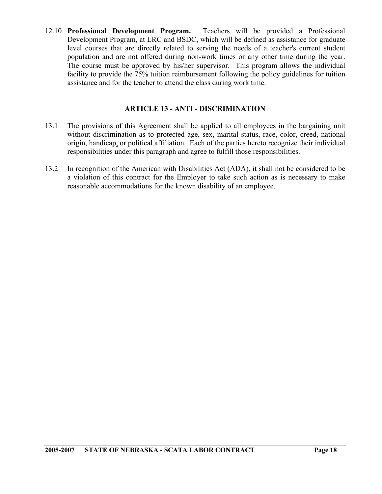<span id="page-18-0"></span>12.10 **Professional Development Program.** Teachers will be provided a Professional Development Program, at LRC and BSDC, which will be defined as assistance for graduate level courses that are directly related to serving the needs of a teacher's current student population and are not offered during non-work times or any other time during the year. The course must be approved by his/her supervisor. This program allows the individual facility to provide the 75% tuition reimbursement following the policy guidelines for tuition assistance and for the teacher to attend the class during work time.

#### **ARTICLE 13 - ANTI - DISCRIMINATION**

- 13.1 The provisions of this Agreement shall be applied to all employees in the bargaining unit without discrimination as to protected age, sex, marital status, race, color, creed, national origin, handicap, or political affiliation. Each of the parties hereto recognize their individual responsibilities under this paragraph and agree to fulfill those responsibilities.
- 13.2 In recognition of the American with Disabilities Act (ADA), it shall not be considered to be a violation of this contract for the Employer to take such action as is necessary to make reasonable accommodations for the known disability of an employee.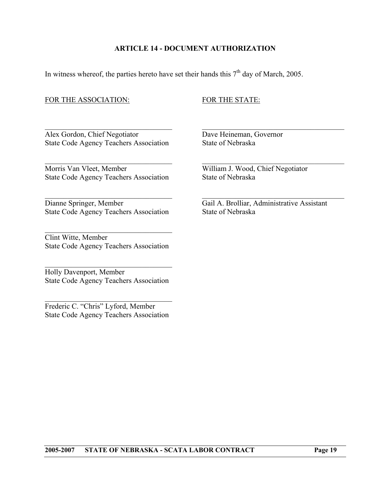#### **ARTICLE 14 - DOCUMENT AUTHORIZATION**

 $\mathcal{L}_\text{max}$  , and the contribution of the contribution of the contribution of the contribution of the contribution of the contribution of the contribution of the contribution of the contribution of the contribution of t

 $\mathcal{L}_\text{max}$  , and the contribution of the contribution of the contribution of the contribution of the contribution of the contribution of the contribution of the contribution of the contribution of the contribution of t

 $\mathcal{L}_\text{max}$  , and the contribution of the contribution of the contribution of the contribution of the contribution of the contribution of the contribution of the contribution of the contribution of the contribution of t

<span id="page-19-0"></span>In witness whereof, the parties hereto have set their hands this  $7<sup>th</sup>$  day of March, 2005.

#### FOR THE ASSOCIATION: FOR THE STATE:

Alex Gordon, Chief Negotiator Dave Heineman, Governor State Code Agency Teachers Association State of Nebraska

Morris Van Vleet, Member William J. Wood, Chief Negotiator State Code Agency Teachers Association State of Nebraska

Dianne Springer, Member Gail A. Brolliar, Administrative Assistant State Code Agency Teachers Association State of Nebraska

Clint Witte, Member State Code Agency Teachers Association

 $\mathcal{L}_\text{max}$  , and the set of the set of the set of the set of the set of the set of the set of the set of the set of the set of the set of the set of the set of the set of the set of the set of the set of the set of the

Holly Davenport, Member State Code Agency Teachers Association

 $\mathcal{L}_\text{max}$  , and the set of the set of the set of the set of the set of the set of the set of the set of the set of the set of the set of the set of the set of the set of the set of the set of the set of the set of the

Frederic C. "Chris" Lyford, Member State Code Agency Teachers Association

 $\mathcal{L}_\text{max}$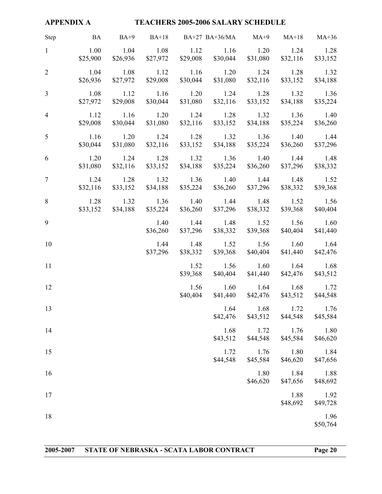<span id="page-20-0"></span>

| <b>APPENDIX A</b><br><b>TEACHERS 2005-2006 SALARY SCHEDULE</b> |                                               |                             |                  |               |                                                                          |                            |                  |                                |
|----------------------------------------------------------------|-----------------------------------------------|-----------------------------|------------------|---------------|--------------------------------------------------------------------------|----------------------------|------------------|--------------------------------|
| Step                                                           | BA BA+9 BA+18 BA+27 BA+36/MA MA+9 MA+18 MA+36 |                             |                  |               |                                                                          |                            |                  |                                |
| $\mathbf{1}$                                                   | 1.00                                          |                             | 1.04 1.08        |               | 1.12 1.16 1.20 1.24 1.28<br>\$25,900 \$26,936 \$27,972 \$29,008 \$30,044 | \$31,080                   | \$32,116         | \$33,152                       |
| $\overline{2}$                                                 | 1.04                                          | 1.08<br>$$26,936$ $$27,972$ |                  | $1.12 \t1.16$ | $$29,008$ $$30,044$ $$31,080$                                            | $1.20 \t 1.24$<br>\$32,116 | 1.28<br>\$33,152 | 1.32<br>\$34,188               |
| $\overline{3}$                                                 | 1.08<br>\$27,972                              | 1.12<br>\$29,008            | \$30,044         | $1.16$ $1.20$ | \$31,080 \$32,116                                                        | $1.24$ $1.28$<br>\$33,152  | 1.32<br>\$34,188 | 1.36<br>\$35,224               |
| $\overline{4}$                                                 | 1.12<br>\$29,008                              | 1.16<br>\$30,044            | \$31,080         |               | $1.20 \t 1.24 \t 1.28 \t 1.32$<br>$$32,116$ $$33,152$                    | \$34,188                   | 1.36<br>\$35,224 | 1.40<br>\$36,260               |
| 5                                                              | 1.16<br>\$30,044                              | 1.20<br>\$31,080            | \$32,116         |               | 1.24 1.28 1.32 1.36<br>$$33,152$ $$34,188$                               | \$35,224                   | 1.40<br>\$36,260 | 1.44<br>\$37,296               |
| 6                                                              | 1.20<br>\$31,080                              | 1.24<br>\$32,116            | \$33,152         |               | 1.28 1.32 1.36 1.40<br>\$34,188 \$35,224                                 | \$36,260                   | \$37,296         | 1.44 1.48<br>\$38,332          |
| $7\overline{ }$                                                | \$32,116                                      | \$33,152                    | \$34,188         |               | 1.24 1.28 1.32 1.36 1.40 1.44<br>$$35,224$ $$36,260$                     | \$37,296                   | \$38,332         | 1.48 1.52<br>\$39,368          |
| 8                                                              |                                               | $$33,152$ $$34,188$         | \$35,224         |               | 1.28 1.32 1.36 1.40 1.44 1.48<br>\$36,260 \$37,296                       | \$38,332                   |                  | 1.52 1.56<br>\$39,368 \$40,404 |
| 9                                                              |                                               |                             | 1.40<br>\$36,260 | 1.44          | 1.48<br>\$37,296 \$38,332                                                | 1.52<br>\$39,368           | 1.56<br>\$40,404 | 1.60<br>\$41,440               |
| 10                                                             |                                               |                             | \$37,296         | 1.44 1.48     | \$38,332 \$39,368                                                        | 1.52 1.56<br>\$40,404      | 1.60<br>\$41,440 | 1.64<br>\$42,476               |
| 11                                                             |                                               |                             |                  | 1.52          | \$39,368 \$40,404 \$41,440 \$42,476 \$43,512                             | 1.56 1.60                  | 1.64             | 1.68                           |
| 12                                                             |                                               |                             |                  | 1.56          | \$40,404 \$41,440 \$42,476 \$43,512 \$44,548                             | 1.60 1.64 1.68             |                  | 1.72                           |
| 13                                                             |                                               |                             |                  |               | 1.64<br>\$42,476                                                         | 1.68<br>\$43,512           | 1.72<br>\$44,548 | 1.76<br>\$45,584               |
| 14                                                             |                                               |                             |                  |               | 1.68<br>\$43,512                                                         | 1.72<br>\$44,548           | 1.76<br>\$45,584 | 1.80<br>\$46,620               |
| 15                                                             |                                               |                             |                  |               | 1.72<br>\$44,548                                                         | 1.76<br>\$45,584           | 1.80<br>\$46,620 | 1.84<br>\$47,656               |
| 16                                                             |                                               |                             |                  |               |                                                                          | 1.80<br>\$46,620           | 1.84<br>\$47,656 | 1.88<br>\$48,692               |
| 17                                                             |                                               |                             |                  |               |                                                                          |                            | 1.88<br>\$48,692 | 1.92<br>\$49,728               |
| 18                                                             |                                               |                             |                  |               |                                                                          |                            |                  | 1.96<br>\$50,764               |